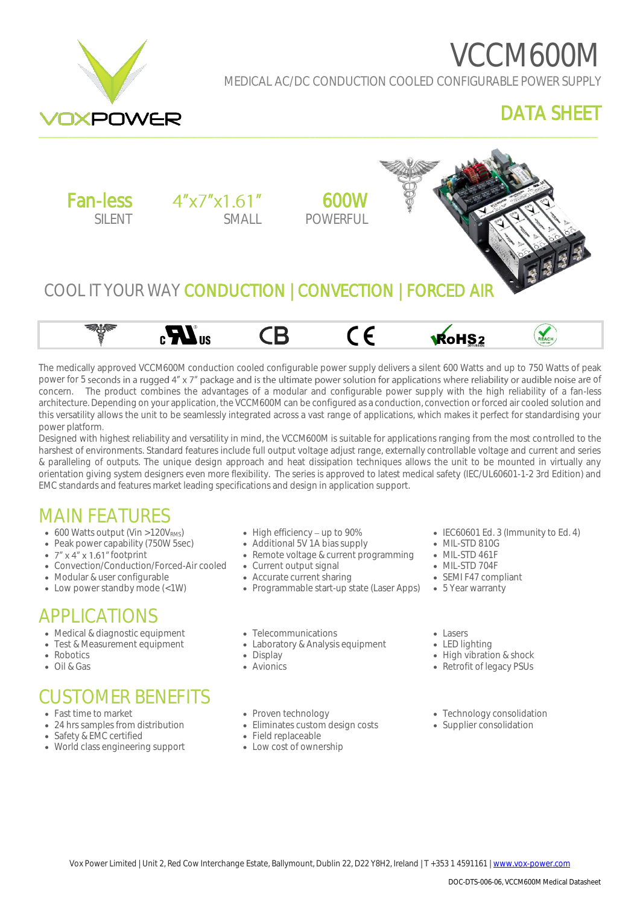# VCCM600M



#### MEDICAL AC/DC CONDUCTION COOLED CONFIGURABLE POWER SUPPLY

#### DATA SHEET





The medically approved VCCM600M conduction cooled configurable power supply delivers a silent 600 Watts and up to 750 Watts of peak power for 5 seconds in a rugged 4" x 7" package and is the ultimate power solution for applications where reliability or audible noise are of concern. The product combines the advantages of a modular and configurable power supply with the high reliability of a fan-less architecture. Depending on your application, the VCCM600M can be configured as a conduction, convection or forced air cooled solution and this versatility allows the unit to be seamlessly integrated across a vast range of applications, which makes it perfect for standardising your power platform.

Designed with highest reliability and versatility in mind, the VCCM600M is suitable for applications ranging from the most controlled to the harshest of environments. Standard features include full output voltage adjust range, externally controllable voltage and current and series & paralleling of outputs. The unique design approach and heat dissipation techniques allows the unit to be mounted in virtually any orientation giving system designers even more flexibility. The series is approved to latest medical safety (IEC/UL60601-1-2 3rd Edition) and EMC standards and features market leading specifications and design in application support.

#### MAIN FEATURES

- $\bullet$  600 Watts output (Vin >120V<sub>RMS</sub>)
- Peak power capability (750W 5sec)
- $7'' \times 4'' \times 1.61''$  footprint
- Convection/Conduction/Forced-Air cooled
- Modular & user configurable
- Low power standby mode (<1W)

#### APPLICATIONS

- Medical & diagnostic equipment
- Test & Measurement equipment
- Robotics
- Oil & Gas

## CUSTOMER BENEFITS

- Fast time to market
- 24 hrs samples from distribution
- Safety & EMC certified
- World class engineering support
- $\bullet$  High efficiency up to 90%
- Additional 5V 1A bias supply
- Remote voltage & current programming
- Current output signal
- Accurate current sharing
- Programmable start-up state (Laser Apps) 5 Year warranty
- Telecommunications
- Laboratory & Analysis equipment
- Display
- Avionics
- IEC60601 Ed. 3 (Immunity to Ed. 4)
- MIL-STD 810G
- MIL-STD 461F
- MIL-STD 704F
- SEMI F47 compliant
- 

• Lasers

- LED lighting
- High vibration & shock
- Retrofit of legacy PSUs

- Proven technology
- Eliminates custom design costs
- Field replaceable
- Low cost of ownership
- Technology consolidation
- Supplier consolidation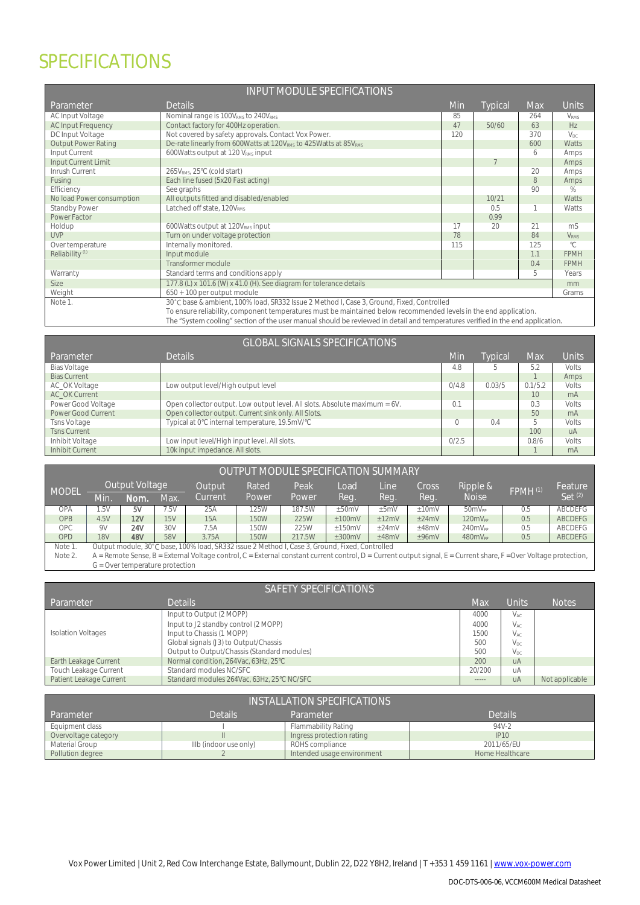## SPECIFICATIONS

| <b>INPUT MODULE SPECIFICATIONS</b> |                                                                                                                                |     |         |     |                         |
|------------------------------------|--------------------------------------------------------------------------------------------------------------------------------|-----|---------|-----|-------------------------|
| Parameter                          | <b>Details</b>                                                                                                                 | Min | Typical | Max | Units                   |
| AC Input Voltage                   | Nominal range is 100VRMs to 240VRMs                                                                                            | 85  |         | 264 | <b>VRMS</b>             |
| <b>AC Input Frequency</b>          | Contact factory for 400Hz operation.                                                                                           | 47  | 50/60   | 63  | HZ                      |
| DC Input Voltage                   | Not covered by safety approvals. Contact Vox Power.                                                                            | 120 |         | 370 | $V_{DC}$                |
| <b>Output Power Rating</b>         | De-rate linearly from 600Watts at 120V <sub>RMS</sub> to 425Watts at 85V <sub>RMS</sub>                                        |     |         | 600 | Watts                   |
| Input Current                      | 600Watts output at 120 VRMS input                                                                                              |     |         | 6   | Amps                    |
| Input Current Limit                |                                                                                                                                |     |         |     | Amps                    |
| Inrush Current                     | 265VRMS, 25°C (cold start)                                                                                                     |     |         | 20  | Amps                    |
| Fusing                             | Each line fused (5x20 Fast acting)                                                                                             |     |         | 8   | Amps                    |
| Efficiency                         | See graphs                                                                                                                     |     |         | 90  | %                       |
| No load Power consumption          | All outputs fitted and disabled/enabled                                                                                        |     | 10/21   |     | Watts                   |
| Standby Power                      | Latched off state, 120VRMS                                                                                                     |     | 0.5     |     | Watts                   |
| Power Factor                       |                                                                                                                                |     | 0.99    |     |                         |
| Holdup                             | 600Watts output at 120VRMs input                                                                                               | 17  | 20      | 21  | m <sub>S</sub>          |
| <b>UVP</b>                         | Turn on under voltage protection                                                                                               | 78  |         | 84  | <b>V</b> <sub>RMS</sub> |
| Over temperature                   | Internally monitored.                                                                                                          | 115 |         | 125 | $^{\circ}$ C            |
| Reliability <sup>(1)</sup>         | Input module                                                                                                                   |     |         | 1.1 | <b>FPMH</b>             |
|                                    | Transformer module                                                                                                             |     |         | 0.4 | <b>FPMH</b>             |
| Warranty                           | Standard terms and conditions apply                                                                                            |     |         | 5   | Years                   |
| Size                               | 177.8 (L) x 101.6 (W) x 41.0 (H). See diagram for tolerance details                                                            |     |         |     | mm                      |
| Weight                             | 650 + 100 per output module                                                                                                    |     |         |     | Grams                   |
| Note 1.                            | 30°C base & ambient, 100% load, SR332 Issue 2 Method I, Case 3, Ground, Fixed, Controlled                                      |     |         |     |                         |
|                                    | To ensure reliability, component temperatures must be maintained below recommended levels in the end application.              |     |         |     |                         |
|                                    | The "System cooling" section of the user manual should be reviewed in detail and temperatures verified in the end application. |     |         |     |                         |

|                     | <b>GLOBAL SIGNALS SPECIFICATIONS</b>                                       |       |         |         |                |
|---------------------|----------------------------------------------------------------------------|-------|---------|---------|----------------|
| Parameter           | <b>Details</b>                                                             | Min   | Typical | Max     | Units          |
| Bias Voltage        |                                                                            | 4.8   | b       | 5.2     | Volts          |
| <b>Bias Current</b> |                                                                            |       |         |         | Amps           |
| AC_OK Voltage       | Low output level/High output level                                         | 0/4.8 | 0.03/5  | 0.1/5.2 | <b>Volts</b>   |
| AC OK Current       |                                                                            |       |         | 10      | m <sub>A</sub> |
| Power Good Voltage  | Open collector output. Low output level. All slots. Absolute maximum = 6V. | 0.1   |         | 0.3     | Volts          |
| Power Good Current  | Open collector output. Current sink only. All Slots.                       |       |         | 50      | mA             |
| <b>Tsns Voltage</b> | Typical at 0°C internal temperature, 19.5mV/°C                             |       | 0.4     |         | Volts          |
| <b>Tsns Current</b> |                                                                            |       |         | 100     | <b>UA</b>      |
| Inhibit Voltage     | Low input level/High input level. All slots.                               | 0/2.5 |         | 0.8/6   | Volts          |
| Inhibit Current     | 10k input impedance. All slots.                                            |       |         |         | m <sub>A</sub> |

|              | OUTPUT MODULE SPECIFICATION SUMMARY                                                                                                                                 |                                   |     |            |             |        |             |            |       |                     |                     |                    |
|--------------|---------------------------------------------------------------------------------------------------------------------------------------------------------------------|-----------------------------------|-----|------------|-------------|--------|-------------|------------|-------|---------------------|---------------------|--------------------|
| <b>MODEL</b> |                                                                                                                                                                     | Output Voltage                    |     | Output     | Rated       | Peak.  | Load        | Line       | Cross | Ripple &            | FPMH <sup>(1)</sup> | Feature            |
|              | Min                                                                                                                                                                 | Nom.                              | Max | Current    | Power       | Power  | Rea.        | Rea        | Rea.  | <b>Noise</b>        |                     | Set <sup>(2)</sup> |
| <b>OPA</b>   | .5V                                                                                                                                                                 | 5V                                | .5V | 25A        | 25W         | 187.5W | $\pm 50$ mV | $\pm 5$ mV | ±10mV | 50mV <sub>PP</sub>  | 0.5                 | <b>ABCDEFG</b>     |
| <b>OPB</b>   | 4.5V                                                                                                                                                                | 12V                               | 15V | <b>15A</b> | <b>150W</b> | 225W   | ±100mV      | ±12mV      | ±24mV | 120mV <sub>PP</sub> | 0.5                 | <b>ABCDEFG</b>     |
| <b>OPC</b>   | 9V                                                                                                                                                                  | 24V                               | 30V | 7.5A       | 150W        | 225W   | $+150mV$    | $+24$ mV   | ±48mV | 240mV <sub>PP</sub> | 0.5                 | ABCDEFG            |
| <b>OPD</b>   | <b>18V</b>                                                                                                                                                          | 48V                               | 58V | 3.75A      | <b>150W</b> | 217.5W | ±300mV      | ±48mV      | ±96mV | 480mV <sub>PP</sub> | 0.5                 | ABCDEFG            |
| Note 1       | Output module, 30°C base, 100% load, SR332 issue 2 Method I, Case 3, Ground, Fixed, Controlled                                                                      |                                   |     |            |             |        |             |            |       |                     |                     |                    |
| Note 2.      | $A =$ Remote Sense, B = External Voltage control, C = External constant current control, D = Current output signal, E = Current share, F = Over Voltage protection, |                                   |     |            |             |        |             |            |       |                     |                     |                    |
|              |                                                                                                                                                                     | $G =$ Over temperature protection |     |            |             |        |             |            |       |                     |                     |                    |

| SAFETY SPECIFICATIONS     |                                             |             |                 |                |  |
|---------------------------|---------------------------------------------|-------------|-----------------|----------------|--|
| Parameter                 | <b>Details</b>                              | Max         | Units           | <b>Notes</b>   |  |
|                           | Input to Output (2 MOPP)                    | 4000        | V <sub>AC</sub> |                |  |
|                           | Input to J2 standby control (2 MOPP)        | 4000        | V <sub>AC</sub> |                |  |
| <b>Isolation Voltages</b> | Input to Chassis (1 MOPP)                   | 1500        | V <sub>AC</sub> |                |  |
|                           | Global signals (J3) to Output/Chassis       | 500         | V <sub>DC</sub> |                |  |
|                           | Output to Output/Chassis (Standard modules) | 500         | $V_{\text{DC}}$ |                |  |
| Earth Leakage Current     | Normal condition, 264Vac, 63Hz, 25°C        | 200         | $U\rightarrow$  |                |  |
| Touch Leakage Current     | Standard modules NC/SFC                     | 20/200      | uA              |                |  |
| Patient Leakage Current   | Standard modules 264Vac. 63Hz. 25°C NC/SFC  | $- - - - -$ | uA              | Not applicable |  |

| INSTALLATION SPECIFICATIONS                         |                        |                            |                 |  |  |  |
|-----------------------------------------------------|------------------------|----------------------------|-----------------|--|--|--|
| Details<br><b>Details</b><br>Parameter<br>Parameter |                        |                            |                 |  |  |  |
| Equipment class                                     |                        | Flammability Rating        | 94V-2           |  |  |  |
| Overvoltage category                                |                        | Ingress protection rating  | IP10            |  |  |  |
| Material Group                                      | IIIb (indoor use only) | ROHS compliance            | 2011/65/EU      |  |  |  |
| Pollution degree                                    |                        | Intended usage environment | Home Healthcare |  |  |  |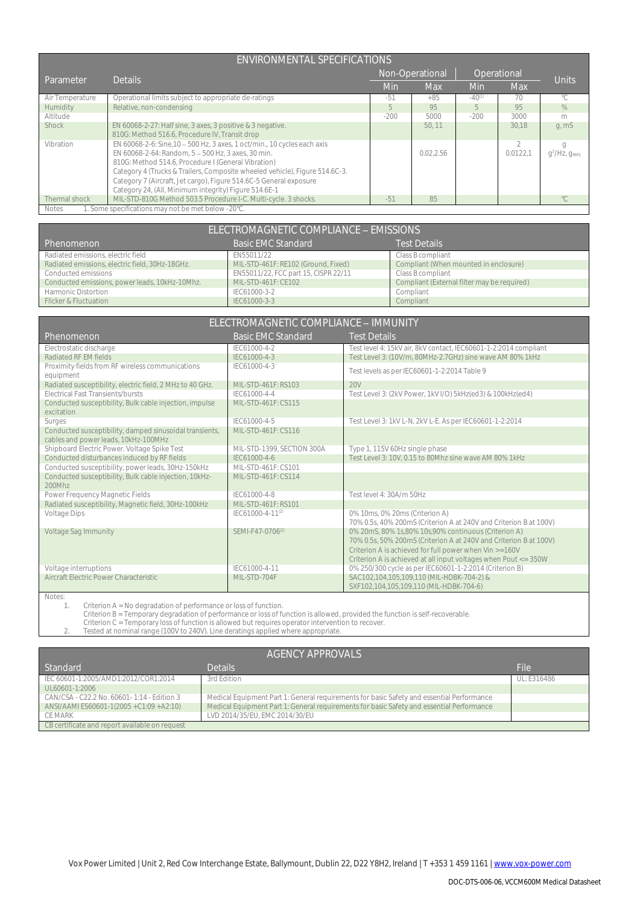|                 | ENVIRONMENTAL SPECIFICATIONS                                                                                                                                                                                                                                                                                                                                                                        |        |                 |             |               |                                  |
|-----------------|-----------------------------------------------------------------------------------------------------------------------------------------------------------------------------------------------------------------------------------------------------------------------------------------------------------------------------------------------------------------------------------------------------|--------|-----------------|-------------|---------------|----------------------------------|
| Parameter       | <b>Details</b>                                                                                                                                                                                                                                                                                                                                                                                      |        | Non-Operational | Operational |               |                                  |
|                 |                                                                                                                                                                                                                                                                                                                                                                                                     | Min    | Max             | Min         | <b>Max</b>    | Units                            |
| Air Temperature | Operational limits subject to appropriate de-ratings                                                                                                                                                                                                                                                                                                                                                | $-51$  | $+85$           | $-40^{(1)}$ | 70            | °C                               |
| Humidity        | Relative, non-condensing                                                                                                                                                                                                                                                                                                                                                                            | 5.     | 95              | 5           | 95            | $\%$                             |
| Altitude        |                                                                                                                                                                                                                                                                                                                                                                                                     | $-200$ | 5000            | $-200$      | 3000          | m                                |
| Shock           | EN 60068-2-27: Half sine, 3 axes, 3 positive & 3 negative.<br>810G: Method 516.6, Procedure IV, Transit drop                                                                                                                                                                                                                                                                                        |        | 50.11           |             | 30,18         | q, mS                            |
| Vibration       | EN 60068-2-6: Sine, 10 - 500 Hz, 3 axes, 1 oct/min., 10 cycles each axis<br>EN 60068-2-64: Random, 5 - 500 Hz, 3 axes, 30 min.<br>810G: Method 514.6, Procedure I (General Vibration)<br>Category 4 (Trucks & Trailers, Composite wheeled vehicle), Figure 514.6C-3.<br>Category 7 (Aircraft, Jet cargo), Figure 514.6C-5 General exposure<br>Category 24, (All, Minimum integrity) Figure 514.6E-1 |        | 0.02.2.56       |             | 2<br>0.0122.1 | g<br>$q^2$ /Hz, g <sub>RMS</sub> |
| Thermal shock   | MIL-STD-810G Method 503.5 Procedure I-C. Multi-cycle. 3 shocks.                                                                                                                                                                                                                                                                                                                                     | $-51$  | 85              |             |               | $^{\circ}$ C.                    |
| Notes           | 1. Some specifications may not be met below -20°C.                                                                                                                                                                                                                                                                                                                                                  |        |                 |             |               |                                  |

ELECTROMAGNETIC COMPLIANCE - EMISSIONS Phenomenon Basic EMC Standard Test Details<br>
Radiated emissions, electric field (Standard Basic EMC Standard Class B compliant<br>
Radiated emissions, electric field, 30Hz-18GHz. MIL-STD-461F: RE102 (Ground, Fixed) Compliant ( Radiated emissions, electric field EN55011/22<br>
Radiated emissions, electric field, 30Hz-18GHz. MIL-STD-461F: RE102 (Ground, Fixed) Radiated emissions, electric field, 30Hz-18GHz. MIL-STD-461F: RE102 (Ground, Fixed) Compliant (When Conducted emissions ENS5011/22, FCC part 15, CISPR 22/11 Class B compliant EN55011/22, FCC part 15, CISPR 22/11 Class B compliant (External filter may be required)<br>
Compliant (External filter may be required) Conducted emissions, power leads, 10kHz-10Mhz. MIL-STD-461F: CE102 Compliant (Compliant Filter may be required) to the required of the required of the required of the required of the required of the required of the require Harmonic Distortion **IEC61000-3-2** Compliant Compliant Research Compliant Research Compliant Research Compliant Research Compliant Research Compliant Research Compliant Research Compliant Research Compliant Research Compli Flicker & Fluctuation

| ELECTROMAGNETIC COMPLIANCE - IMMUNITY                     |                              |                                                                   |  |  |  |  |
|-----------------------------------------------------------|------------------------------|-------------------------------------------------------------------|--|--|--|--|
| Phenomenon                                                | <b>Basic EMC Standard</b>    | <b>Test Details</b>                                               |  |  |  |  |
| Electrostatic discharge                                   | IFC61000-4-2                 | Test level 4: 15kV air, 8kV contact, IEC60601-1-2:2014 compliant  |  |  |  |  |
| Radiated RF FM fields                                     | IFC61000-4-3                 | Test Level 3: (10V/m, 80MHz-2.7GHz) sine wave AM 80% 1kHz         |  |  |  |  |
| Proximity fields from RF wireless communications          | IFC61000-4-3                 | Test levels as per IEC60601-1-2:2014 Table 9                      |  |  |  |  |
| equipment                                                 |                              |                                                                   |  |  |  |  |
| Radiated susceptibility, electric field, 2 MHz to 40 GHz. | MIL-STD-461F: RS103          | 20V                                                               |  |  |  |  |
| <b>Flectrical Fast Transients/bursts</b>                  | IFC61000-4-4                 | Test Level 3: (2kV Power, 1kV I/O) 5kHz(ed3) & 100kHz(ed4)        |  |  |  |  |
| Conducted susceptibility, Bulk cable injection, impulse   | MIL-STD-461F: CS115          |                                                                   |  |  |  |  |
| excitation                                                |                              |                                                                   |  |  |  |  |
| Surges                                                    | IFC61000-4-5                 | Test Level 3: 1kV L-N, 2kV L-E. As per IEC60601-1-2:2014          |  |  |  |  |
| Conducted susceptibility, damped sinusoidal transients,   | MIL-STD-461F: CS116          |                                                                   |  |  |  |  |
| cables and power leads, 10kHz-100MHz                      |                              |                                                                   |  |  |  |  |
| Shipboard Electric Power. Voltage Spike Test              | MIL-STD-1399, SECTION 300A   | Type 1, 115V 60Hz single phase                                    |  |  |  |  |
| Conducted disturbances induced by RF fields               | IEC61000-4-6                 | Test Level 3: 10V, 0.15 to 80Mhz sine wave AM 80% 1kHz            |  |  |  |  |
| Conducted susceptibility, power leads, 30Hz-150kHz        | MII-STD-461E: CS101          |                                                                   |  |  |  |  |
| Conducted susceptibility, Bulk cable injection, 10kHz-    | MIL-STD-461F: CS114          |                                                                   |  |  |  |  |
| 200Mhz                                                    |                              |                                                                   |  |  |  |  |
| Power Frequency Magnetic Fields                           | IFC61000-4-8                 | Test level 4: 30A/m 50Hz                                          |  |  |  |  |
| Radiated susceptibility, Magnetic field, 30Hz-100kHz      | MIL-STD-461F: RS101          |                                                                   |  |  |  |  |
| Voltage Dips                                              | IEC61000-4-11 <sup>(2)</sup> | 0% 10ms, 0% 20ms (Criterion A)                                    |  |  |  |  |
|                                                           |                              | 70% 0.5s, 40% 200mS (Criterion A at 240V and Criterion B at 100V) |  |  |  |  |
| <b>Voltage Sag Immunity</b>                               | SEMI-F47-0706 <sup>(2)</sup> | 0% 20mS, 80% 1s,80% 10s,90% continuous (Criterion A)              |  |  |  |  |
|                                                           |                              | 70% 0.5s, 50% 200mS (Criterion A at 240V and Criterion B at 100V) |  |  |  |  |
|                                                           |                              | Criterion A is achieved for full power when Vin >=160V            |  |  |  |  |
|                                                           |                              | Criterion A is achieved at all input voltages when Pout <= 350W   |  |  |  |  |
| Voltage interruptions                                     | IFC61000-4-11                | 0% 250/300 cycle as per IEC60601-1-2:2014 (Criterion B)           |  |  |  |  |
| Aircraft Electric Power Characteristic                    | MIL-STD-704F                 | SAC102,104,105,109,110 (MIL-HDBK-704-2) &                         |  |  |  |  |
|                                                           |                              | SXF102,104,105,109,110 (MIL-HDBK-704-6)                           |  |  |  |  |

Notes:<br>1

Criterion A = No degradation of performance or loss of function.

Criterion B = Temporary degradation of performance or loss of function is allowed, provided the function is self-recoverable.<br>Criterion C = Temporary loss of function is allowed but requires operator intervention to recove

| AGENCY APPROVALS                               |                                                                                           |             |  |  |
|------------------------------------------------|-------------------------------------------------------------------------------------------|-------------|--|--|
| <b>Standard</b>                                | <b>Details</b>                                                                            | File        |  |  |
| IEC 60601-1:2005/AMD1:2012/COR1:2014           | 3rd Edition                                                                               | UL: E316486 |  |  |
| UL60601-1:2006                                 |                                                                                           |             |  |  |
| CAN/CSA - C22.2 No. 60601 - 1:14 - Edition 3   | Medical Equipment Part 1: General requirements for basic Safety and essential Performance |             |  |  |
| ANSI/AAMI ES60601-1(2005 + C1:09 + A2:10)      | Medical Equipment Part 1: General requirements for basic Safety and essential Performance |             |  |  |
| CE MARK                                        | LVD 2014/35/EU, EMC 2014/30/EU                                                            |             |  |  |
| CB certificate and report available on request |                                                                                           |             |  |  |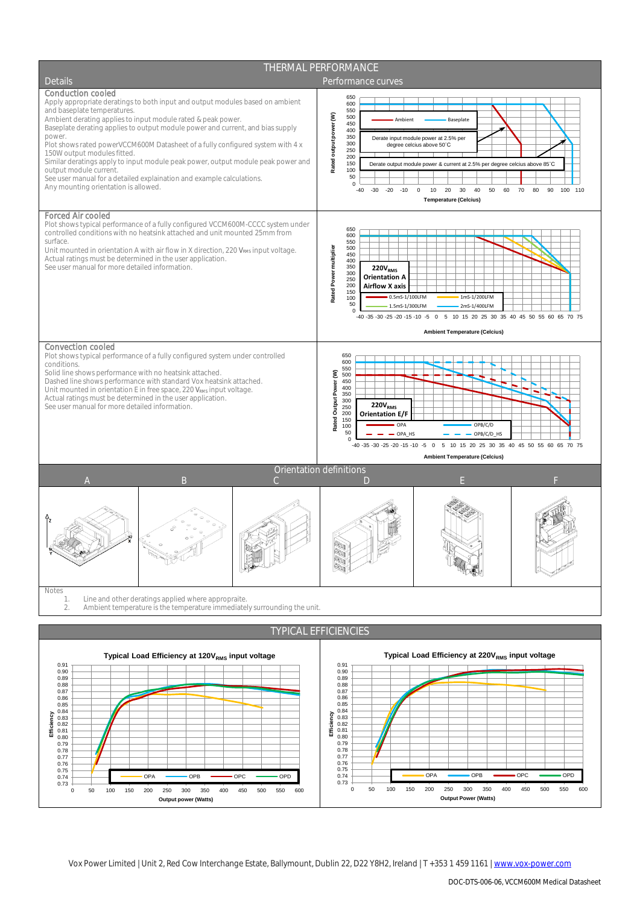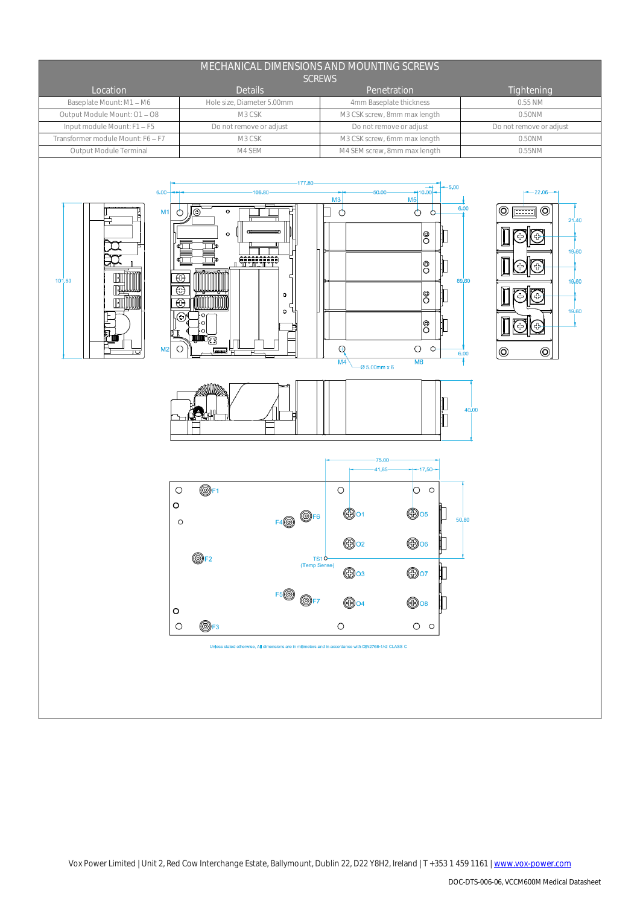